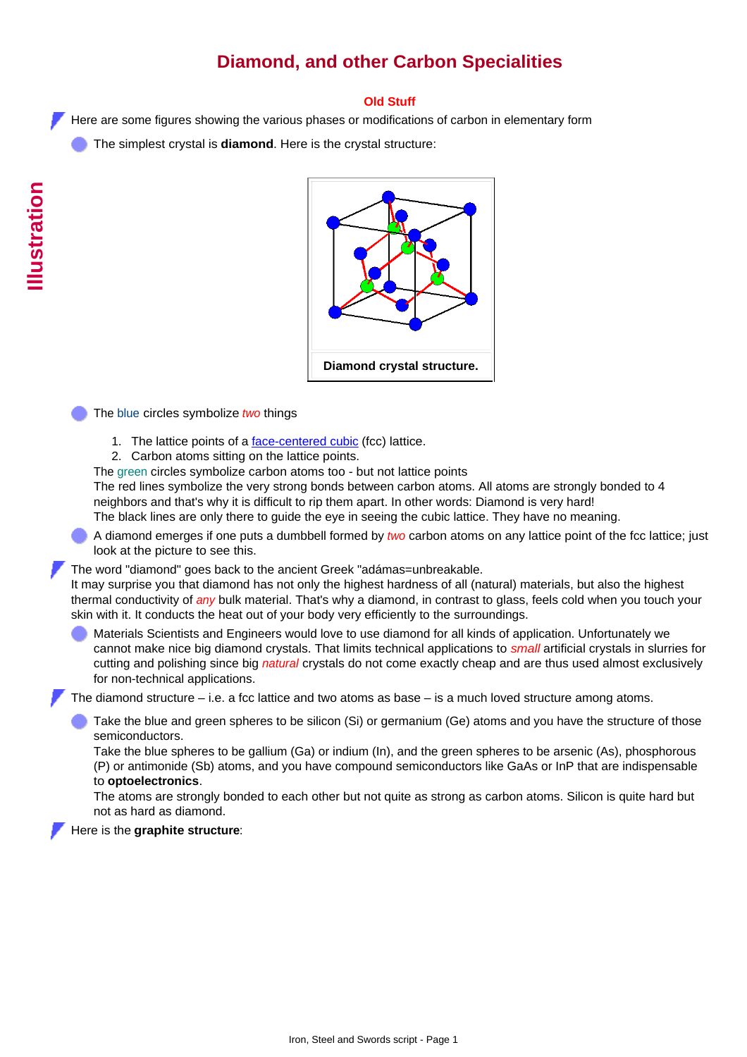# **Diamond, and other Carbon Specialities**

## **Old Stuff**

Here are some figures showing the various phases or modifications of carbon in elementary form

The simplest crystal is **diamond**. Here is the crystal structure:



The blue circles symbolize *two* things

- 1. The lattice points of a **[face-centered cubic](http://www.tf.uni-kiel.de/matwis/amat/iss_dec_15_2021/kap_4/backbone/r4_2_2.html#face centered cubic lattice)** (fcc) lattice.
- 2. Carbon atoms sitting on the lattice points.

The green circles symbolize carbon atoms too - but not lattice points

The red lines symbolize the very strong bonds between carbon atoms. All atoms are strongly bonded to 4 neighbors and that's why it is difficult to rip them apart. In other words: Diamond is very hard! The black lines are only there to guide the eye in seeing the cubic lattice. They have no meaning.

A diamond emerges if one puts a dumbbell formed by *two* carbon atoms on any lattice point of the fcc lattice; just look at the picture to see this.

The word "diamond" goes back to the ancient Greek "adámas=unbreakable.

It may surprise you that diamond has not only the highest hardness of all (natural) materials, but also the highest thermal conductivity of *any* bulk material. That's why a diamond, in contrast to glass, feels cold when you touch your skin with it. It conducts the heat out of your body very efficiently to the surroundings.

Materials Scientists and Engineers would love to use diamond for all kinds of application. Unfortunately we cannot make nice big diamond crystals. That limits technical applications to *small* artificial crystals in slurries for cutting and polishing since big *natural* crystals do not come exactly cheap and are thus used almost exclusively for non-technical applications.

The diamond structure – i.e. a fcc lattice and two atoms as base – is a much loved structure among atoms.

Take the blue and green spheres to be silicon (Si) or germanium (Ge) atoms and you have the structure of those semiconductors.

Take the blue spheres to be gallium (Ga) or indium (In), and the green spheres to be arsenic (As), phosphorous (P) or antimonide (Sb) atoms, and you have compound semiconductors like GaAs or InP that are indispensable to **optoelectronics**.

The atoms are strongly bonded to each other but not quite as strong as carbon atoms. Silicon is quite hard but not as hard as diamond.

Here is the **graphite structure**: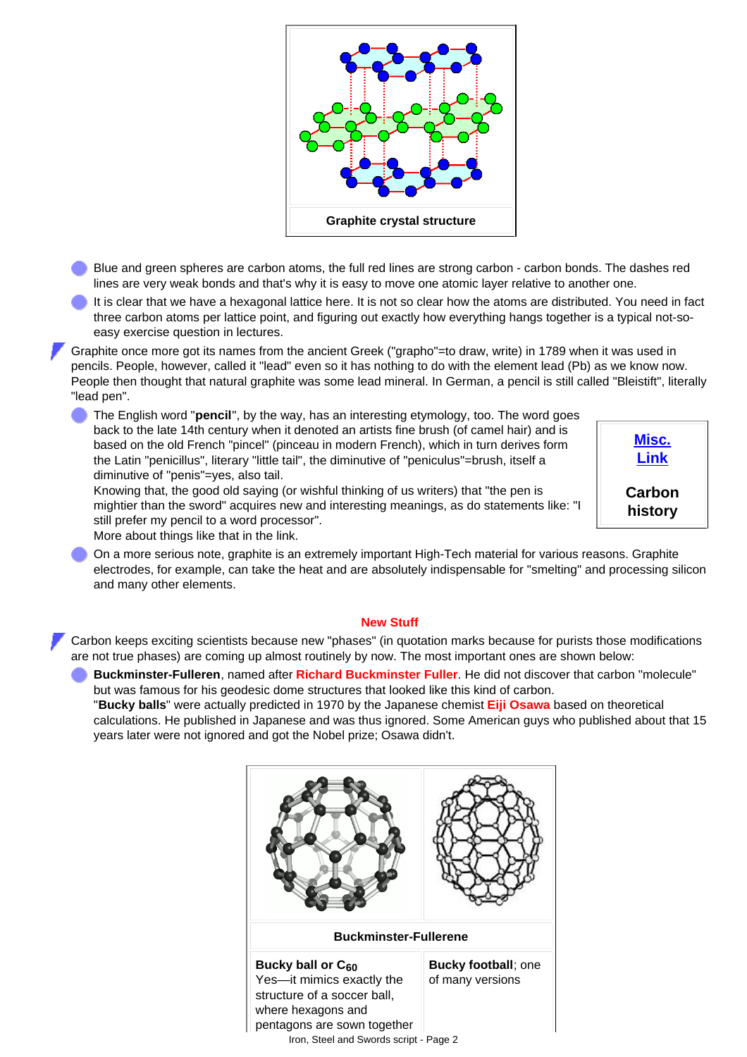

- Blue and green spheres are carbon atoms, the full red lines are strong carbon carbon bonds. The dashes red lines are very weak bonds and that's why it is easy to move one atomic layer relative to another one.
- It is clear that we have a hexagonal lattice here. It is not so clear how the atoms are distributed. You need in fact three carbon atoms per lattice point, and figuring out exactly how everything hangs together is a typical not-soeasy exercise question in lectures.
- Graphite once more got its names from the ancient Greek ("grapho"=to draw, write) in 1789 when it was used in pencils. People, however, called it "lead" even so it has nothing to do with the element lead (Pb) as we know now. People then thought that natural graphite was some lead mineral. In German, a pencil is still called "Bleistift", literally "lead pen".

**[Misc.](http://www.tf.uni-kiel.de/matwis/amat/iss_dec_15_2021/kap_4/advanced/t4_2_1.html) [Link](http://www.tf.uni-kiel.de/matwis/amat/iss_dec_15_2021/kap_4/advanced/t4_2_1.html)**

**Carbon history**

The English word "**pencil**", by the way, has an interesting etymology, too. The word goes back to the late 14th century when it denoted an artists fine brush (of camel hair) and is based on the old French "pincel" (pinceau in modern French), which in turn derives form the Latin "penicillus", literary "little tail", the diminutive of "peniculus"=brush, itself a diminutive of "penis"=yes, also tail.

Knowing that, the good old saying (or wishful thinking of us writers) that "the pen is mightier than the sword" acquires new and interesting meanings, as do statements like: "I still prefer my pencil to a word processor".

More about things like that in the link.

On a more serious note, graphite is an extremely important High-Tech material for various reasons. Graphite electrodes, for example, can take the heat and are absolutely indispensable for "smelting" and processing silicon and many other elements.

## **New Stuff**

Carbon keeps exciting scientists because new "phases" (in quotation marks because for purists those modifications are not true phases) are coming up almost routinely by now. The most important ones are shown below:

**Buckminster-Fulleren**, named after **Richard Buckminster Fuller**. He did not discover that carbon "molecule" but was famous for his geodesic dome structures that looked like this kind of carbon. "**Bucky balls**" were actually predicted in 1970 by the Japanese chemist **Eiji Osawa** based on theoretical calculations. He published in Japanese and was thus ignored. Some American guys who published about that 15 years later were not ignored and got the Nobel prize; Osawa didn't.

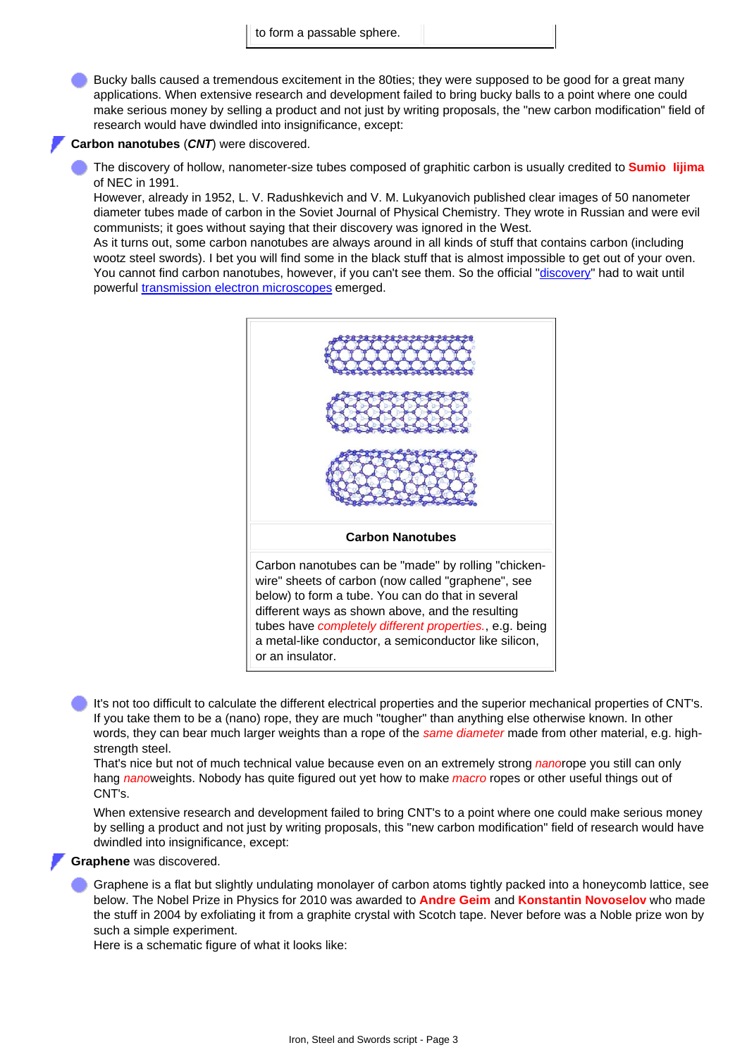Bucky balls caused a tremendous excitement in the 80ties; they were supposed to be good for a great many applications. When extensive research and development failed to bring bucky balls to a point where one could make serious money by selling a product and not just by writing proposals, the "new carbon modification" field of research would have dwindled into insignificance, except:

#### **Carbon nanotubes** (*CNT*) were discovered.

The discovery of hollow, nanometer-size tubes composed of graphitic carbon is usually credited to **Sumio Iijima** of NEC in 1991.

However, already in 1952, L. V. Radushkevich and V. M. Lukyanovich published clear images of 50 nanometer diameter tubes made of carbon in the Soviet Journal of Physical Chemistry. They wrote in Russian and were evil communists; it goes without saying that their discovery was ignored in the West.

As it turns out, some carbon nanotubes are always around in all kinds of stuff that contains carbon (including wootz steel swords). I bet you will find some in the black stuff that is almost impossible to get out of your oven. You cannot find carbon nanotubes, however, if you can't see them. So the official ["discovery](http://www.tf.uni-kiel.de/matwis/amat/iss_dec_15_2021/kap_7/advanced/t7_1_1.html)" had to wait until powerful [transmission electron microscopes](http://www.tf.uni-kiel.de/matwis/amat/iss_dec_15_2021/kap_4/illustr/s4_1_1c.html) emerged.



It's not too difficult to calculate the different electrical properties and the superior mechanical properties of CNT's. If you take them to be a (nano) rope, they are much "tougher" than anything else otherwise known. In other words, they can bear much larger weights than a rope of the *same diameter* made from other material, e.g. highstrength steel.

That's nice but not of much technical value because even on an extremely strong *nano*rope you still can only hang *nano*weights. Nobody has quite figured out yet how to make *macro* ropes or other useful things out of CNT's.

When extensive research and development failed to bring CNT's to a point where one could make serious money by selling a product and not just by writing proposals, this "new carbon modification" field of research would have dwindled into insignificance, except:

### **Graphene** was discovered.

Graphene is a flat but slightly undulating monolayer of carbon atoms tightly packed into a honeycomb lattice, see below. The Nobel Prize in Physics for 2010 was awarded to **Andre Geim** and **Konstantin Novoselov** who made the stuff in 2004 by exfoliating it from a graphite crystal with Scotch tape. Never before was a Noble prize won by such a simple experiment.

Here is a schematic figure of what it looks like: